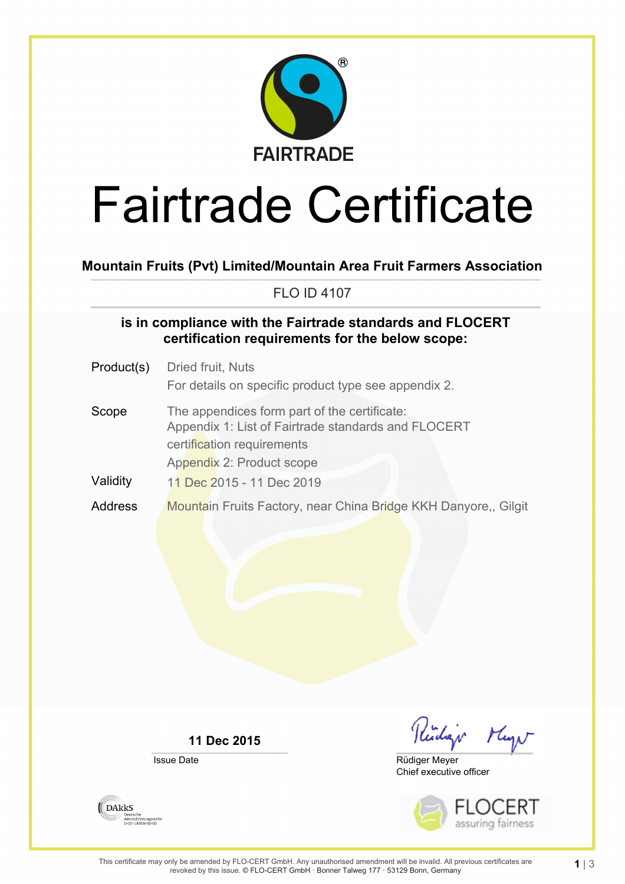

# Fairtrade Certificate

**Mountain Fruits (Pvt) Limited/Mountain Area Fruit Farmers Association**

FLO ID 4107

### **is in compliance with the Fairtrade standards and FLOCERT certification requirements for the below scope:**

Product(s) Dried fruit, Nuts For details on specific product type see appendix 2. Scope The appendices form part of the certificate: Appendix 1: List of Fairtrade standards and FLOCERT certification requirements Appendix 2: Product scope Validity 11 Dec 2015 - 11 Dec 2019 Address Mountain Fruits Factory, near China Bridge KKH Danyore,, Gilgit

**11 Dec 2015**

Issue Date

Readings Mayo

Chief executive officer Rüdiger Meyer



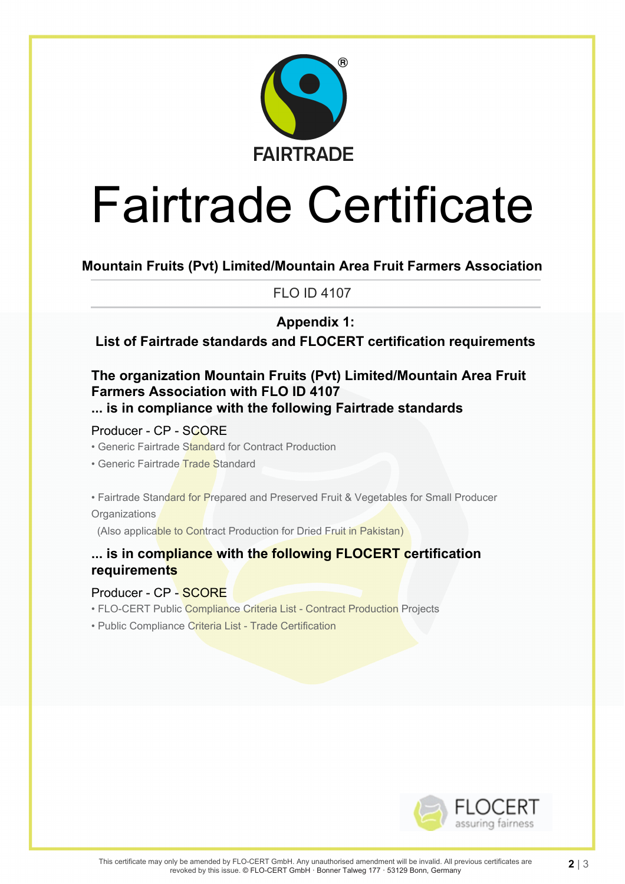

# Fairtrade Certificate

**Mountain Fruits (Pvt) Limited/Mountain Area Fruit Farmers Association**

FLO ID 4107

# **Appendix 1:**

**List of Fairtrade standards and FLOCERT certification requirements**

## **The organization Mountain Fruits (Pvt) Limited/Mountain Area Fruit Farmers Association with FLO ID 4107 ... is in compliance with the following Fairtrade standards**

Producer - CP - SCORE

- Generic Fairtrade Standard for Contract Production
- Generic Fairtrade Trade Standard

• Fairtrade Standard for Prepared and Preserved Fruit & Vegetables for Small Producer **Organizations** 

(Also applicable to Contract Production for Dried Fruit in Pakistan)

## **... is in compliance with the following FLOCERT certification requirements**

#### Producer - CP - SCORE

- FLO-CERT Public Compliance Criteria List Contract Production Projects
- Public Compliance Criteria List Trade Certification